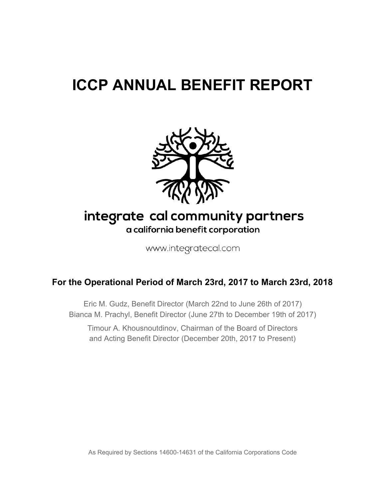# **ICCP ANNUAL BENEFIT REPORT**



# integrate cal community partners a california benefit corporation

www.integratecal.com

# **For the Operational Period of March 23rd, 2017 to March 23rd, 2018**

Eric M. Gudz, Benefit Director (March 22nd to June 26th of 2017) Bianca M. Prachyl, Benefit Director (June 27th to December 19th of 2017)

Timour A. Khousnoutdinov, Chairman of the Board of Directors and Acting Benefit Director (December 20th, 2017 to Present)

As Required by Sections 14600-14631 of the California Corporations Code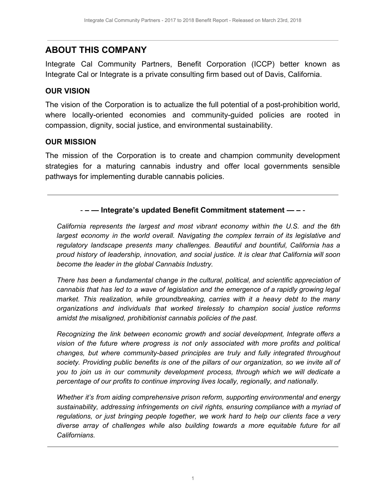# **ABOUT THIS COMPANY**

Integrate Cal Community Partners, Benefit Corporation (ICCP) better known as Integrate Cal or Integrate is a private consulting firm based out of Davis, California.

#### **OUR VISION**

The vision of the Corporation is to actualize the full potential of a post-prohibition world, where locally-oriented economies and community-guided policies are rooted in compassion, dignity, social justice, and environmental sustainability.

#### **OUR MISSION**

The mission of the Corporation is to create and champion community development strategies for a maturing cannabis industry and offer local governments sensible pathways for implementing durable cannabis policies.

#### - **– — Integrate's updated Benefit Commitment statement — –** -

*California represents the largest and most vibrant economy within the U.S. and the 6th largest economy in the world overall. Navigating the complex terrain of its legislative and regulatory landscape presents many challenges. Beautiful and bountiful, California has a proud history of leadership, innovation, and social justice. It is clear that California will soon become the leader in the global Cannabis Industry.*

*There has been a fundamental change in the cultural, political, and scientific appreciation of cannabis that has led to a wave of legislation and the emergence of a rapidly growing legal market. This realization, while groundbreaking, carries with it a heavy debt to the many organizations and individuals that worked tirelessly to champion social justice reforms amidst the misaligned, prohibitionist cannabis policies of the past.*

*Recognizing the link between economic growth and social development, Integrate offers a vision of the future where progress is not only associated with more profits and political changes, but where community-based principles are truly and fully integrated throughout society. Providing public benefits is one of the pillars of our organization, so we invite all of you to join us in our community development process, through which we will dedicate a percentage of our profits to continue improving lives locally, regionally, and nationally.*

*Whether it's from aiding comprehensive prison reform, supporting environmental and energy sustainability, addressing infringements on civil rights, ensuring compliance with a myriad of regulations, or just bringing people together, we work hard to help our clients face a very diverse array of challenges while also building towards a more equitable future for all Californians.*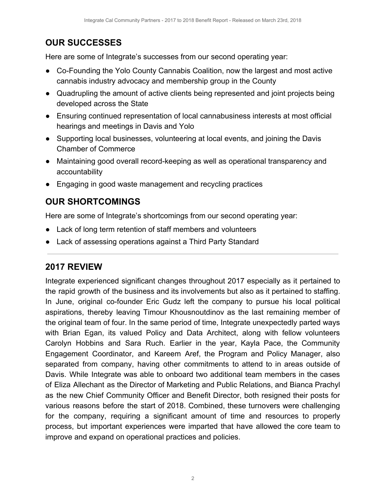# **OUR SUCCESSES**

Here are some of Integrate's successes from our second operating year:

- Co-Founding the Yolo County Cannabis Coalition, now the largest and most active cannabis industry advocacy and membership group in the County
- Quadrupling the amount of active clients being represented and joint projects being developed across the State
- Ensuring continued representation of local cannabusiness interests at most official hearings and meetings in Davis and Yolo
- Supporting local businesses, volunteering at local events, and joining the Davis Chamber of Commerce
- Maintaining good overall record-keeping as well as operational transparency and accountability
- Engaging in good waste management and recycling practices

# **OUR SHORTCOMINGS**

Here are some of Integrate's shortcomings from our second operating year:

- Lack of long term retention of staff members and volunteers
- Lack of assessing operations against a Third Party Standard

# **2017 REVIEW**

Integrate experienced significant changes throughout 2017 especially as it pertained to the rapid growth of the business and its involvements but also as it pertained to staffing. In June, original co-founder Eric Gudz left the company to pursue his local political aspirations, thereby leaving Timour Khousnoutdinov as the last remaining member of the original team of four. In the same period of time, Integrate unexpectedly parted ways with Brian Egan, its valued Policy and Data Architect, along with fellow volunteers Carolyn Hobbins and Sara Ruch. Earlier in the year, Kayla Pace, the Community Engagement Coordinator, and Kareem Aref, the Program and Policy Manager, also separated from company, having other commitments to attend to in areas outside of Davis. While Integrate was able to onboard two additional team members in the cases of Eliza Allechant as the Director of Marketing and Public Relations, and Bianca Prachyl as the new Chief Community Officer and Benefit Director, both resigned their posts for various reasons before the start of 2018. Combined, these turnovers were challenging for the company, requiring a significant amount of time and resources to properly process, but important experiences were imparted that have allowed the core team to improve and expand on operational practices and policies.